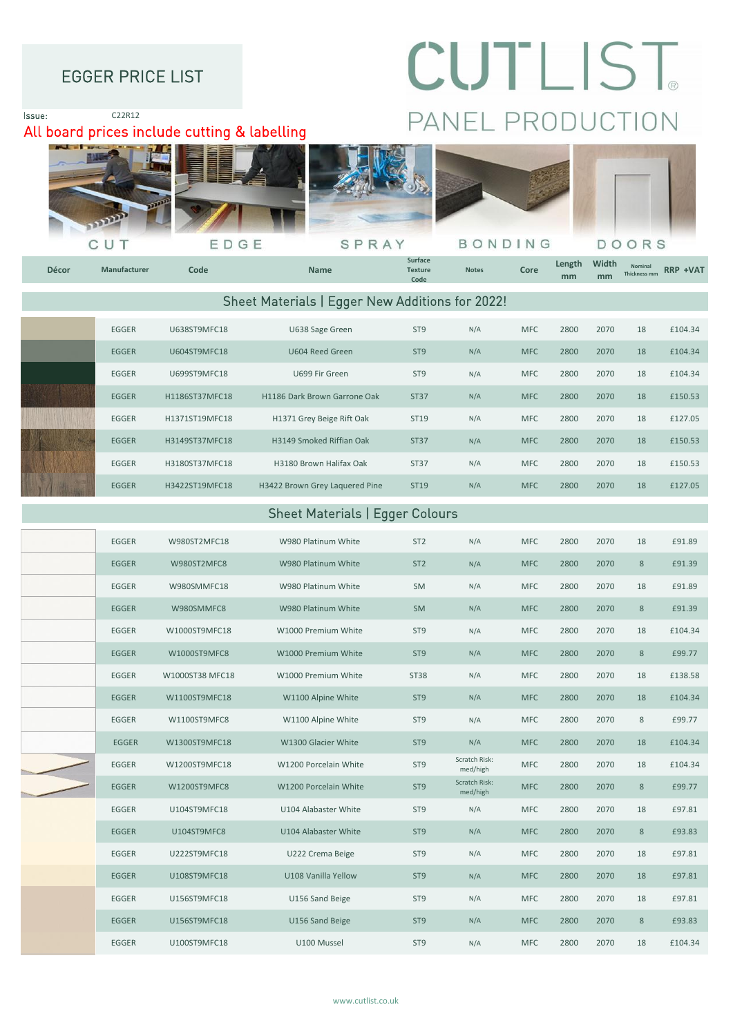### EGGER PRICE LIST

# CUTLIST PANEL PRODUCTION

## All board prices include cutting & labelling







SPRAY



Issue: C22R12



| LUULII       | <b>UUUTU IJIYII CIU</b> | <b>UUUT IILLU UILLII</b>       | ---              | $\mathbf{u}$ | $\sim$     | zuuu | 20/0 | ᅩᇰ | <b>LIVT.JT</b> |
|--------------|-------------------------|--------------------------------|------------------|--------------|------------|------|------|----|----------------|
| <b>EGGER</b> | U699ST9MFC18            | U699 Fir Green                 | ST <sub>9</sub>  | N/A          | <b>MFC</b> | 2800 | 2070 | 18 | £104.34        |
| <b>EGGER</b> | H1186ST37MFC18          | H1186 Dark Brown Garrone Oak   | <b>ST37</b>      | N/A          | <b>MFC</b> | 2800 | 2070 | 18 | £150.53        |
| EGGER        | H1371ST19MFC18          | H1371 Grey Beige Rift Oak      | ST <sub>19</sub> | N/A          | <b>MFC</b> | 2800 | 2070 | 18 | £127.05        |
| <b>EGGER</b> | H3149ST37MFC18          | H3149 Smoked Riffian Oak       | <b>ST37</b>      | N/A          | <b>MFC</b> | 2800 | 2070 | 18 | £150.53        |
| EGGER        | H3180ST37MFC18          | H3180 Brown Halifax Oak        | <b>ST37</b>      | N/A          | <b>MFC</b> | 2800 | 2070 | 18 | £150.53        |
| <b>EGGER</b> | H3422ST19MFC18          | H3422 Brown Grey Laquered Pine | ST19             | N/A          | <b>MFC</b> | 2800 | 2070 | 18 | £127.05        |

#### Sheet Materials | Egger Colours

| EGGER        | W980ST2MFC18    | W980 Platinum White   | ST <sub>2</sub> | N/A                       | <b>MFC</b> | 2800 | 2070 | 18             | £91.89  |
|--------------|-----------------|-----------------------|-----------------|---------------------------|------------|------|------|----------------|---------|
| EGGER        | W980ST2MFC8     | W980 Platinum White   | ST <sub>2</sub> | N/A                       | <b>MFC</b> | 2800 | 2070 | 8              | £91.39  |
| EGGER        | W980SMMFC18     | W980 Platinum White   | SM              | N/A                       | <b>MFC</b> | 2800 | 2070 | 18             | £91.89  |
| <b>EGGER</b> | W980SMMFC8      | W980 Platinum White   | <b>SM</b>       | N/A                       | <b>MFC</b> | 2800 | 2070 | 8              | £91.39  |
| EGGER        | W1000ST9MFC18   | W1000 Premium White   | ST <sub>9</sub> | N/A                       | <b>MFC</b> | 2800 | 2070 | 18             | £104.34 |
| <b>EGGER</b> | W1000ST9MFC8    | W1000 Premium White   | ST <sub>9</sub> | N/A                       | <b>MFC</b> | 2800 | 2070 | 8              | £99.77  |
| <b>EGGER</b> | W1000ST38 MFC18 | W1000 Premium White   | <b>ST38</b>     | N/A                       | <b>MFC</b> | 2800 | 2070 | 18             | £138.58 |
| <b>EGGER</b> | W1100ST9MFC18   | W1100 Alpine White    | ST <sub>9</sub> | N/A                       | <b>MFC</b> | 2800 | 2070 | 18             | £104.34 |
| EGGER        | W1100ST9MFC8    | W1100 Alpine White    | ST <sub>9</sub> | N/A                       | <b>MFC</b> | 2800 | 2070 | 8              | £99.77  |
| <b>EGGER</b> | W1300ST9MFC18   | W1300 Glacier White   | ST <sub>9</sub> | N/A                       | <b>MFC</b> | 2800 | 2070 | 18             | £104.34 |
| EGGER        | W1200ST9MFC18   | W1200 Porcelain White | ST <sub>9</sub> | Scratch Risk:<br>med/high | <b>MFC</b> | 2800 | 2070 | 18             | £104.34 |
| EGGER        | W1200ST9MFC8    | W1200 Porcelain White | ST <sub>9</sub> | Scratch Risk:<br>med/high | <b>MFC</b> | 2800 | 2070 | $8\phantom{1}$ | £99.77  |
| EGGER        | U104ST9MFC18    | U104 Alabaster White  | ST <sub>9</sub> | N/A                       | <b>MFC</b> | 2800 | 2070 | 18             | £97.81  |
| EGGER        | U104ST9MFC8     | U104 Alabaster White  | ST <sub>9</sub> | N/A                       | <b>MFC</b> | 2800 | 2070 | 8              | £93.83  |
| EGGER        | U222ST9MFC18    | U222 Crema Beige      | ST <sub>9</sub> | N/A                       | <b>MFC</b> | 2800 | 2070 | 18             | £97.81  |
| EGGER        | U108ST9MFC18    | U108 Vanilla Yellow   | ST <sub>9</sub> | N/A                       | <b>MFC</b> | 2800 | 2070 | 18             | £97.81  |
| <b>EGGER</b> | U156ST9MFC18    | U156 Sand Beige       | ST <sub>9</sub> | N/A                       | <b>MFC</b> | 2800 | 2070 | 18             | £97.81  |
| EGGER        | U156ST9MFC18    | U156 Sand Beige       | ST <sub>9</sub> | N/A                       | <b>MFC</b> | 2800 | 2070 | 8              | £93.83  |
| EGGER        | U100ST9MFC18    | U100 Mussel           | ST <sub>9</sub> | N/A                       | <b>MFC</b> | 2800 | 2070 | 18             | £104.34 |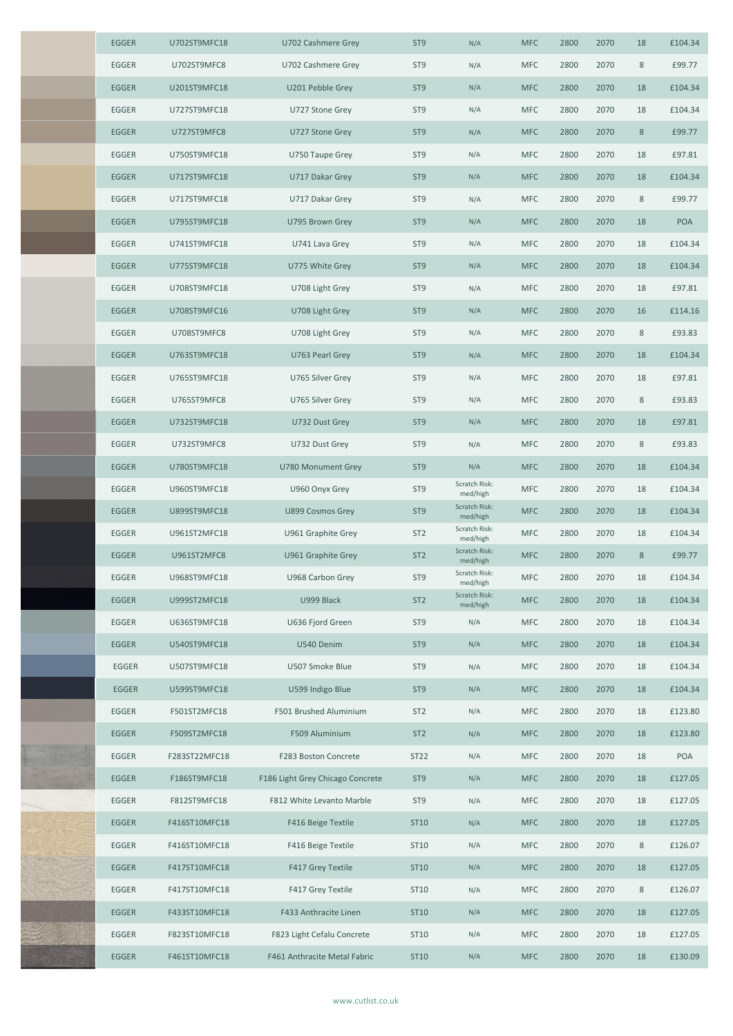| <b>EGGER</b> | U702ST9MFC18  | U702 Cashmere Grey               | ST <sub>9</sub> | N/A                       | <b>MFC</b> | 2800 | 2070 | 18      | £104.34    |
|--------------|---------------|----------------------------------|-----------------|---------------------------|------------|------|------|---------|------------|
| EGGER        | U702ST9MFC8   | U702 Cashmere Grey               | ST <sub>9</sub> | N/A                       | <b>MFC</b> | 2800 | 2070 | $\,8\,$ | £99.77     |
| <b>EGGER</b> | U201ST9MFC18  | U201 Pebble Grey                 | ST <sub>9</sub> | N/A                       | <b>MFC</b> | 2800 | 2070 | 18      | £104.34    |
| EGGER        | U727ST9MFC18  | U727 Stone Grey                  | ST <sub>9</sub> | N/A                       | <b>MFC</b> | 2800 | 2070 | 18      | £104.34    |
| <b>EGGER</b> | U727ST9MFC8   | U727 Stone Grey                  | ST <sub>9</sub> | N/A                       | <b>MFC</b> | 2800 | 2070 | $\,8\,$ | £99.77     |
| EGGER        | U750ST9MFC18  | U750 Taupe Grey                  | ST <sub>9</sub> | N/A                       | <b>MFC</b> | 2800 | 2070 | 18      | £97.81     |
| <b>EGGER</b> | U717ST9MFC18  | U717 Dakar Grey                  | ST <sub>9</sub> | N/A                       | <b>MFC</b> | 2800 | 2070 | 18      | £104.34    |
| EGGER        | U717ST9MFC18  | U717 Dakar Grey                  | ST <sub>9</sub> | N/A                       | <b>MFC</b> | 2800 | 2070 | $\,8\,$ | £99.77     |
| EGGER        | U795ST9MFC18  | U795 Brown Grey                  | ST <sub>9</sub> | N/A                       | <b>MFC</b> | 2800 | 2070 | 18      | <b>POA</b> |
| EGGER        | U741ST9MFC18  | U741 Lava Grey                   | ST <sub>9</sub> | N/A                       | <b>MFC</b> | 2800 | 2070 | 18      | £104.34    |
| <b>EGGER</b> | U775ST9MFC18  | U775 White Grey                  | ST <sub>9</sub> | N/A                       | <b>MFC</b> | 2800 | 2070 | 18      | £104.34    |
| EGGER        | U708ST9MFC18  | U708 Light Grey                  | ST <sub>9</sub> | N/A                       | <b>MFC</b> | 2800 | 2070 | 18      | £97.81     |
| EGGER        | U708ST9MFC16  | U708 Light Grey                  | ST <sub>9</sub> | N/A                       | <b>MFC</b> | 2800 | 2070 | 16      | £114.16    |
| EGGER        | U708ST9MFC8   | U708 Light Grey                  | ST <sub>9</sub> | N/A                       | <b>MFC</b> | 2800 | 2070 | $\,8\,$ | £93.83     |
| EGGER        | U763ST9MFC18  | U763 Pearl Grey                  | ST <sub>9</sub> | N/A                       | <b>MFC</b> | 2800 | 2070 | 18      | £104.34    |
| EGGER        | U765ST9MFC18  | U765 Silver Grey                 | ST <sub>9</sub> | N/A                       | <b>MFC</b> | 2800 | 2070 | 18      | £97.81     |
| EGGER        | U765ST9MFC8   | U765 Silver Grey                 | ST <sub>9</sub> | N/A                       | <b>MFC</b> | 2800 | 2070 | 8       | £93.83     |
| EGGER        | U732ST9MFC18  | U732 Dust Grey                   | ST <sub>9</sub> | N/A                       | <b>MFC</b> | 2800 | 2070 | 18      | £97.81     |
| EGGER        | U732ST9MFC8   | U732 Dust Grey                   | ST <sub>9</sub> | N/A                       | <b>MFC</b> | 2800 | 2070 | 8       | £93.83     |
| <b>EGGER</b> | U780ST9MFC18  | U780 Monument Grey               | ST <sub>9</sub> | N/A                       | <b>MFC</b> | 2800 | 2070 | 18      | £104.34    |
| EGGER        | U960ST9MFC18  | U960 Onyx Grey                   | ST <sub>9</sub> | Scratch Risk:<br>med/high | <b>MFC</b> | 2800 | 2070 | 18      | £104.34    |
| EGGER        | U899ST9MFC18  | U899 Cosmos Grey                 | ST <sub>9</sub> | Scratch Risk:<br>med/high | <b>MFC</b> | 2800 | 2070 | 18      | £104.34    |
| EGGER        | U961ST2MFC18  | U961 Graphite Grey               | ST <sub>2</sub> | Scratch Risk:<br>med/high | <b>MFC</b> | 2800 | 2070 | 18      | £104.34    |
| EGGER        | U961ST2MFC8   | U961 Graphite Grey               | ST <sub>2</sub> | Scratch Risk:<br>med/high | <b>MFC</b> | 2800 | 2070 | 8       | £99.77     |
| EGGER        | U968ST9MFC18  | U968 Carbon Grey                 | ST <sub>9</sub> | Scratch Risk:<br>med/high | <b>MFC</b> | 2800 | 2070 | 18      | £104.34    |
| <b>EGGER</b> | U999ST2MFC18  | U999 Black                       | ST <sub>2</sub> | Scratch Risk:<br>med/high | <b>MFC</b> | 2800 | 2070 | 18      | £104.34    |
| EGGER        | U636ST9MFC18  | U636 Fjord Green                 | ST9             | N/A                       | <b>MFC</b> | 2800 | 2070 | 18      | £104.34    |
| <b>EGGER</b> | U540ST9MFC18  | U540 Denim                       | ST <sub>9</sub> | N/A                       | <b>MFC</b> | 2800 | 2070 | 18      | £104.34    |
| EGGER        | U507ST9MFC18  | U507 Smoke Blue                  | ST <sub>9</sub> | N/A                       | <b>MFC</b> | 2800 | 2070 | 18      | £104.34    |
| EGGER        | U599ST9MFC18  | U599 Indigo Blue                 | ST <sub>9</sub> | N/A                       | <b>MFC</b> | 2800 | 2070 | 18      | £104.34    |
| EGGER        | F501ST2MFC18  | F501 Brushed Aluminium           | ST <sub>2</sub> | N/A                       | <b>MFC</b> | 2800 | 2070 | 18      | £123.80    |
| <b>EGGER</b> | F509ST2MFC18  | F509 Aluminium                   | ST <sub>2</sub> | N/A                       | <b>MFC</b> | 2800 | 2070 | 18      | £123.80    |
| EGGER        | F283ST22MFC18 | F283 Boston Concrete             | ST22            | N/A                       | <b>MFC</b> | 2800 | 2070 | 18      | POA        |
| EGGER        | F186ST9MFC18  | F186 Light Grey Chicago Concrete | ST <sub>9</sub> | N/A                       | <b>MFC</b> | 2800 | 2070 | 18      | £127.05    |
| EGGER        | F812ST9MFC18  | F812 White Levanto Marble        | ST <sub>9</sub> | N/A                       | <b>MFC</b> | 2800 | 2070 | 18      | £127.05    |
| EGGER        | F416ST10MFC18 | F416 Beige Textile               | ST10            | N/A                       | <b>MFC</b> | 2800 | 2070 | 18      | £127.05    |
| EGGER        | F416ST10MFC18 | F416 Beige Textile               | ST10            | N/A                       | <b>MFC</b> | 2800 | 2070 | 8       | £126.07    |
| EGGER        | F417ST10MFC18 | F417 Grey Textile                | ST10            | N/A                       | <b>MFC</b> | 2800 | 2070 | 18      | £127.05    |
| EGGER        | F417ST10MFC18 | F417 Grey Textile                | ST10            | N/A                       | <b>MFC</b> | 2800 | 2070 | 8       | £126.07    |
| EGGER        | F433ST10MFC18 | F433 Anthracite Linen            | ST10            | N/A                       | <b>MFC</b> | 2800 | 2070 | 18      | £127.05    |
| EGGER        | F823ST10MFC18 | F823 Light Cefalu Concrete       | ST10            | N/A                       | <b>MFC</b> | 2800 | 2070 | 18      | £127.05    |
| EGGER        | F461ST10MFC18 | F461 Anthracite Metal Fabric     | ST10            | N/A                       | <b>MFC</b> | 2800 | 2070 | 18      | £130.09    |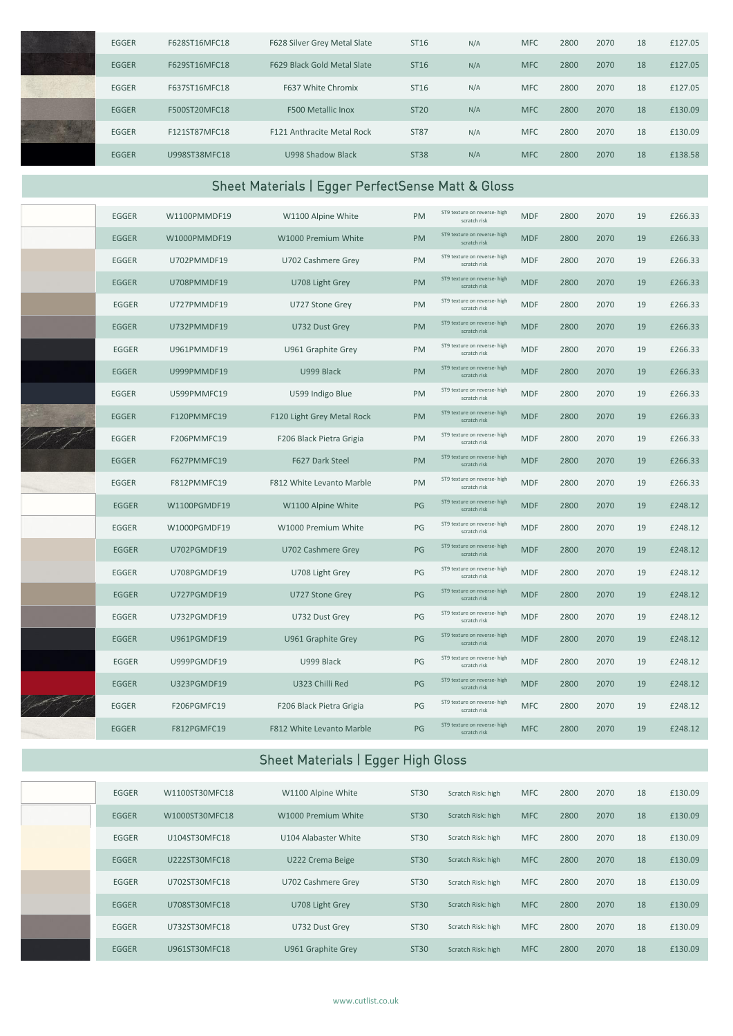| EGGER        | F628ST16MFC18  | F628 Silver Grey Metal Slate                      | ST16        | N/A                                          | <b>MFC</b> | 2800 | 2070 | 18 | £127.05 |
|--------------|----------------|---------------------------------------------------|-------------|----------------------------------------------|------------|------|------|----|---------|
| EGGER        | F629ST16MFC18  | F629 Black Gold Metal Slate                       | ST16        | N/A                                          | <b>MFC</b> | 2800 | 2070 | 18 | £127.05 |
| EGGER        | F637ST16MFC18  | F637 White Chromix                                | ST16        | N/A                                          | <b>MFC</b> | 2800 | 2070 | 18 | £127.05 |
| EGGER        | F500ST20MFC18  | F500 Metallic Inox                                | <b>ST20</b> | N/A                                          | <b>MFC</b> | 2800 | 2070 | 18 | £130.09 |
| EGGER        | F121ST87MFC18  | F121 Anthracite Metal Rock                        | <b>ST87</b> | N/A                                          | <b>MFC</b> | 2800 | 2070 | 18 | £130.09 |
| EGGER        | U998ST38MFC18  | U998 Shadow Black                                 | <b>ST38</b> | N/A                                          | <b>MFC</b> | 2800 | 2070 | 18 | £138.58 |
|              |                | Sheet Materials   Egger PerfectSense Matt & Gloss |             |                                              |            |      |      |    |         |
| EGGER        | W1100PMMDF19   | W1100 Alpine White                                | PM          | ST9 texture on reverse- high<br>scratch risk | <b>MDF</b> | 2800 | 2070 | 19 | £266.33 |
| <b>EGGER</b> | W1000PMMDF19   | W1000 Premium White                               | PM          | ST9 texture on reverse- high<br>scratch risk | <b>MDF</b> | 2800 | 2070 | 19 | £266.33 |
| EGGER        | U702PMMDF19    | U702 Cashmere Grey                                | PM          | ST9 texture on reverse- high<br>scratch risk | <b>MDF</b> | 2800 | 2070 | 19 | £266.33 |
| <b>EGGER</b> | U708PMMDF19    | U708 Light Grey                                   | PM          | ST9 texture on reverse- high<br>scratch risk | <b>MDF</b> | 2800 | 2070 | 19 | £266.33 |
| EGGER        | U727PMMDF19    | U727 Stone Grey                                   | PM          | ST9 texture on reverse- high<br>scratch risk | <b>MDF</b> | 2800 | 2070 | 19 | £266.33 |
| <b>EGGER</b> | U732PMMDF19    | U732 Dust Grey                                    | PM          | ST9 texture on reverse- high<br>scratch risk | <b>MDF</b> | 2800 | 2070 | 19 | £266.33 |
| <b>EGGER</b> | U961PMMDF19    | U961 Graphite Grey                                | PM          | ST9 texture on reverse- high<br>scratch risk | <b>MDF</b> | 2800 | 2070 | 19 | £266.33 |
| <b>EGGER</b> | U999PMMDF19    | U999 Black                                        | PM          | ST9 texture on reverse- high<br>scratch risk | <b>MDF</b> | 2800 | 2070 | 19 | £266.33 |
| EGGER        | U599PMMFC19    | U599 Indigo Blue                                  | PM          | ST9 texture on reverse- high<br>scratch risk | <b>MDF</b> | 2800 | 2070 | 19 | £266.33 |
| EGGER        | F120PMMFC19    | F120 Light Grey Metal Rock                        | PM          | ST9 texture on reverse- high<br>scratch risk | <b>MDF</b> | 2800 | 2070 | 19 | £266.33 |
| EGGER        | F206PMMFC19    | F206 Black Pietra Grigia                          | PM          | ST9 texture on reverse- high<br>scratch risk | <b>MDF</b> | 2800 | 2070 | 19 | £266.33 |
| EGGER        | F627PMMFC19    | F627 Dark Steel                                   | PM          | ST9 texture on reverse- high<br>scratch risk | <b>MDF</b> | 2800 | 2070 | 19 | £266.33 |
| EGGER        | F812PMMFC19    | F812 White Levanto Marble                         | PM          | ST9 texture on reverse- high<br>scratch risk | <b>MDF</b> | 2800 | 2070 | 19 | £266.33 |
| EGGER        | W1100PGMDF19   | W1100 Alpine White                                | PG          | ST9 texture on reverse- high<br>scratch risk | <b>MDF</b> | 2800 | 2070 | 19 | £248.12 |
| EGGER        | W1000PGMDF19   | W1000 Premium White                               | PG          | ST9 texture on reverse- high<br>scratch risk | <b>MDF</b> | 2800 | 2070 | 19 | £248.12 |
| EGGER        | U702PGMDF19    | U702 Cashmere Grey                                | PG          | ST9 texture on reverse- high<br>scratch risk | <b>MDF</b> | 2800 | 2070 | 19 | £248.12 |
| EGGER        | U708PGMDF19    | U708 Light Grey                                   | PG          | ST9 texture on reverse- high<br>scratch risk | <b>MDF</b> | 2800 | 2070 | 19 | £248.12 |
| EGGER        | U727PGMDF19    | U727 Stone Grey                                   | PG          | ST9 texture on reverse- high<br>scratch risk | <b>MDF</b> | 2800 | 2070 | 19 | £248.12 |
| EGGER        | U732PGMDF19    | U732 Dust Grey                                    | PG          | ST9 texture on reverse- high<br>scratch risk | <b>MDF</b> | 2800 | 2070 | 19 | £248.12 |
| EGGER        | U961PGMDF19    | U961 Graphite Grey                                | PG          | ST9 texture on reverse- high<br>scratch risk | <b>MDF</b> | 2800 | 2070 | 19 | £248.12 |
| EGGER        | U999PGMDF19    | U999 Black                                        | PG          | ST9 texture on reverse- high<br>scratch risk | <b>MDF</b> | 2800 | 2070 | 19 | £248.12 |
| EGGER        | U323PGMDF19    | U323 Chilli Red                                   | PG          | ST9 texture on reverse- high<br>scratch risk | <b>MDF</b> | 2800 | 2070 | 19 | £248.12 |
| EGGER        | F206PGMFC19    | F206 Black Pietra Grigia                          | PG          | ST9 texture on reverse- high<br>scratch risk | <b>MFC</b> | 2800 | 2070 | 19 | £248.12 |
| EGGER        | F812PGMFC19    | F812 White Levanto Marble                         | PG          | ST9 texture on reverse- high<br>scratch risk | <b>MFC</b> | 2800 | 2070 | 19 | £248.12 |
|              |                | Sheet Materials   Egger High Gloss                |             |                                              |            |      |      |    |         |
| EGGER        | W1100ST30MFC18 | W1100 Alpine White                                | ST30        | Scratch Risk: high                           | <b>MFC</b> | 2800 | 2070 | 18 | £130.09 |
| EGGER        | W1000ST30MFC18 | W1000 Premium White                               | <b>ST30</b> | Scratch Risk: high                           | <b>MFC</b> | 2800 | 2070 | 18 | £130.09 |
| EGGER        | U104ST30MFC18  | U104 Alabaster White                              | ST30        | Scratch Risk: high                           | <b>MFC</b> | 2800 | 2070 | 18 | £130.09 |
| EGGER        | U222ST30MFC18  | U222 Crema Beige                                  | ST30        | Scratch Risk: high                           | <b>MFC</b> | 2800 | 2070 | 18 | £130.09 |

EGGER U702ST30MFC18 U702 Cashmere Grey ST30 Scratch Risk: high MFC 2800 2070 18 £130.09 EGGER U708ST30MFC18 U708 Light Grey ST30 Scratch Risk: high MFC 2800 2070 18 £130.09 EGGER U732ST30MFC18 U732 Dust Grey ST30 Scratch Risk: high MFC 2800 2070 18 £130.09 EGGER U961ST30MFC18 U961 Graphite Grey ST30 Scratch Risk: high MFC 2800 2070 18 £130.09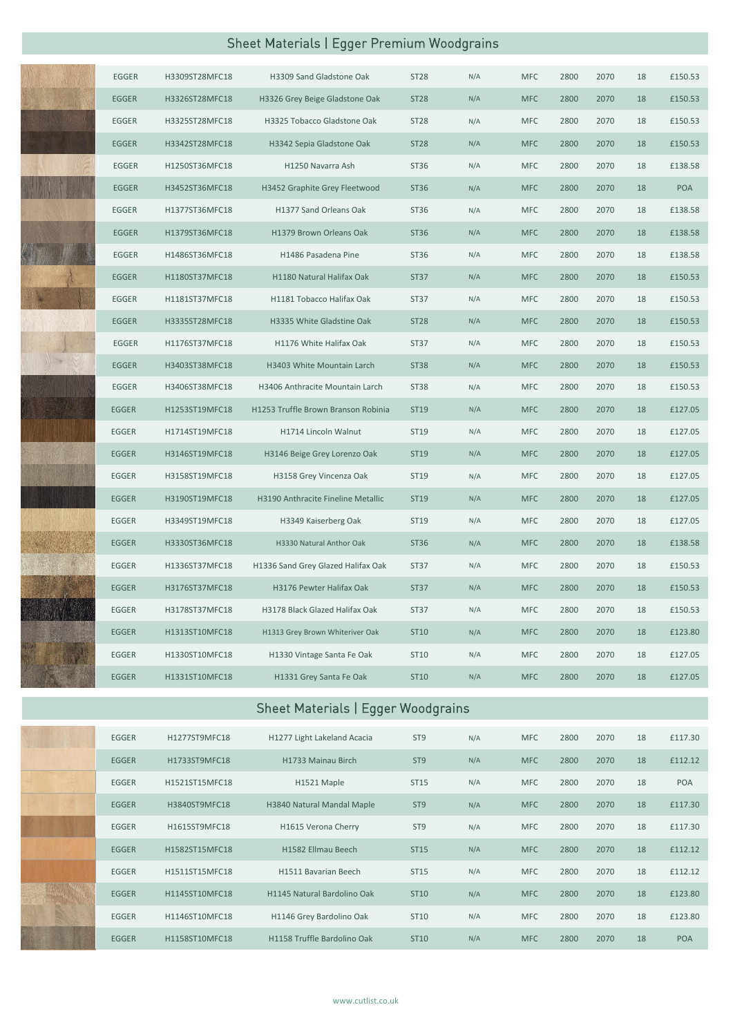# Sheet Materials | Egger Premium Woodgrains

| EGGER        | H3309ST28MFC18 | H3309 Sand Gladstone Oak            | <b>ST28</b> | N/A | <b>MFC</b> | 2800 | 2070 | 18 | £150.53 |
|--------------|----------------|-------------------------------------|-------------|-----|------------|------|------|----|---------|
| EGGER        | H3326ST28MFC18 | H3326 Grey Beige Gladstone Oak      | <b>ST28</b> | N/A | <b>MFC</b> | 2800 | 2070 | 18 | £150.53 |
| EGGER        | H3325ST28MFC18 | H3325 Tobacco Gladstone Oak         | <b>ST28</b> | N/A | <b>MFC</b> | 2800 | 2070 | 18 | £150.53 |
| <b>EGGER</b> | H3342ST28MFC18 | H3342 Sepia Gladstone Oak           | <b>ST28</b> | N/A | MFC        | 2800 | 2070 | 18 | £150.53 |
| EGGER        | H1250ST36MFC18 | H1250 Navarra Ash                   | ST36        | N/A | <b>MFC</b> | 2800 | 2070 | 18 | £138.58 |
| <b>EGGER</b> | H3452ST36MFC18 | H3452 Graphite Grey Fleetwood       | ST36        | N/A | <b>MFC</b> | 2800 | 2070 | 18 | POA     |
| EGGER        | H1377ST36MFC18 | H1377 Sand Orleans Oak              | ST36        | N/A | <b>MFC</b> | 2800 | 2070 | 18 | £138.58 |
| EGGER        | H1379ST36MFC18 | H1379 Brown Orleans Oak             | ST36        | N/A | <b>MFC</b> | 2800 | 2070 | 18 | £138.58 |
| EGGER        | H1486ST36MFC18 | H1486 Pasadena Pine                 | ST36        | N/A | <b>MFC</b> | 2800 | 2070 | 18 | £138.58 |
| <b>EGGER</b> | H1180ST37MFC18 | H1180 Natural Halifax Oak           | ST37        | N/A | MFC        | 2800 | 2070 | 18 | £150.53 |
| EGGER        | H1181ST37MFC18 | H1181 Tobacco Halifax Oak           | ST37        | N/A | <b>MFC</b> | 2800 | 2070 | 18 | £150.53 |
| <b>EGGER</b> | H3335ST28MFC18 | H3335 White Gladstine Oak           | <b>ST28</b> | N/A | <b>MFC</b> | 2800 | 2070 | 18 | £150.53 |
| EGGER        | H1176ST37MFC18 | H1176 White Halifax Oak             | <b>ST37</b> | N/A | <b>MFC</b> | 2800 | 2070 | 18 | £150.53 |
| EGGER        | H3403ST38MFC18 | H3403 White Mountain Larch          | <b>ST38</b> | N/A | <b>MFC</b> | 2800 | 2070 | 18 | £150.53 |
| EGGER        | H3406ST38MFC18 | H3406 Anthracite Mountain Larch     | <b>ST38</b> | N/A | <b>MFC</b> | 2800 | 2070 | 18 | £150.53 |
| <b>EGGER</b> | H1253ST19MFC18 | H1253 Truffle Brown Branson Robinia | ST19        | N/A | <b>MFC</b> | 2800 | 2070 | 18 | £127.05 |
| EGGER        | H1714ST19MFC18 | H1714 Lincoln Walnut                | ST19        | N/A | <b>MFC</b> | 2800 | 2070 | 18 | £127.05 |
| EGGER        | H3146ST19MFC18 | H3146 Beige Grey Lorenzo Oak        | ST19        | N/A | <b>MFC</b> | 2800 | 2070 | 18 | £127.05 |
| EGGER        | H3158ST19MFC18 | H3158 Grey Vincenza Oak             | ST19        | N/A | <b>MFC</b> | 2800 | 2070 | 18 | £127.05 |
| EGGER        | H3190ST19MFC18 | H3190 Anthracite Fineline Metallic  | ST19        | N/A | <b>MFC</b> | 2800 | 2070 | 18 | £127.05 |
| EGGER        | H3349ST19MFC18 | H3349 Kaiserberg Oak                | ST19        | N/A | <b>MFC</b> | 2800 | 2070 | 18 | £127.05 |
| <b>EGGER</b> | H3330ST36MFC18 | H3330 Natural Anthor Oak            | ST36        | N/A | <b>MFC</b> | 2800 | 2070 | 18 | £138.58 |
| EGGER        | H1336ST37MFC18 | H1336 Sand Grey Glazed Halifax Oak  | ST37        | N/A | <b>MFC</b> | 2800 | 2070 | 18 | £150.53 |
| <b>EGGER</b> | H3176ST37MFC18 | H3176 Pewter Halifax Oak            | ST37        | N/A | <b>MFC</b> | 2800 | 2070 | 18 | £150.53 |
| EGGER        | H3178ST37MFC18 | H3178 Black Glazed Halifax Oak      | ST37        | N/A | <b>MFC</b> | 2800 | 2070 | 18 | £150.53 |
| EGGER        | H1313ST10MFC18 | H1313 Grey Brown Whiteriver Oak     | ST10        | N/A | <b>MFC</b> | 2800 | 2070 | 18 | £123.80 |
| <b>EGGER</b> | H1330ST10MFC18 | H1330 Vintage Santa Fe Oak          | ST10        | N/A | <b>MFC</b> | 2800 | 2070 | 18 | £127.05 |
| <b>EGGER</b> | H1331ST10MFC18 | H1331 Grey Santa Fe Oak             | ST10        | N/A | <b>MFC</b> | 2800 | 2070 | 18 | £127.05 |
|              |                |                                     |             |     |            |      |      |    |         |

## Sheet Materials | Egger Woodgrains

| EGGER        | H1277ST9MFC18  | H1277 Light Lakeland Acacia | ST <sub>9</sub> | N/A | <b>MFC</b> | 2800 | 2070 | 18 | £117.30    |
|--------------|----------------|-----------------------------|-----------------|-----|------------|------|------|----|------------|
| <b>EGGER</b> | H1733ST9MFC18  | H1733 Mainau Birch          | ST <sub>9</sub> | N/A | <b>MFC</b> | 2800 | 2070 | 18 | £112.12    |
| EGGER        | H1521ST15MFC18 | H1521 Maple                 | ST15            | N/A | <b>MFC</b> | 2800 | 2070 | 18 | <b>POA</b> |
| <b>EGGER</b> | H3840ST9MFC18  | H3840 Natural Mandal Maple  | ST <sub>9</sub> | N/A | <b>MFC</b> | 2800 | 2070 | 18 | £117.30    |
| EGGER        | H1615ST9MFC18  | H1615 Verona Cherry         | ST <sub>9</sub> | N/A | <b>MFC</b> | 2800 | 2070 | 18 | £117.30    |
| <b>EGGER</b> | H1582ST15MFC18 | H1582 Ellmau Beech          | <b>ST15</b>     | N/A | <b>MFC</b> | 2800 | 2070 | 18 | £112.12    |
| EGGER        | H1511ST15MFC18 | H1511 Bavarian Beech        | ST15            | N/A | <b>MFC</b> | 2800 | 2070 | 18 | £112.12    |
| EGGER        | H1145ST10MFC18 | H1145 Natural Bardolino Oak | ST10            | N/A | <b>MFC</b> | 2800 | 2070 | 18 | £123.80    |
| EGGER        | H1146ST10MFC18 | H1146 Grey Bardolino Oak    | ST10            | N/A | <b>MFC</b> | 2800 | 2070 | 18 | £123.80    |
| <b>EGGER</b> | H1158ST10MFC18 | H1158 Truffle Bardolino Oak | ST10            | N/A | <b>MFC</b> | 2800 | 2070 | 18 | <b>POA</b> |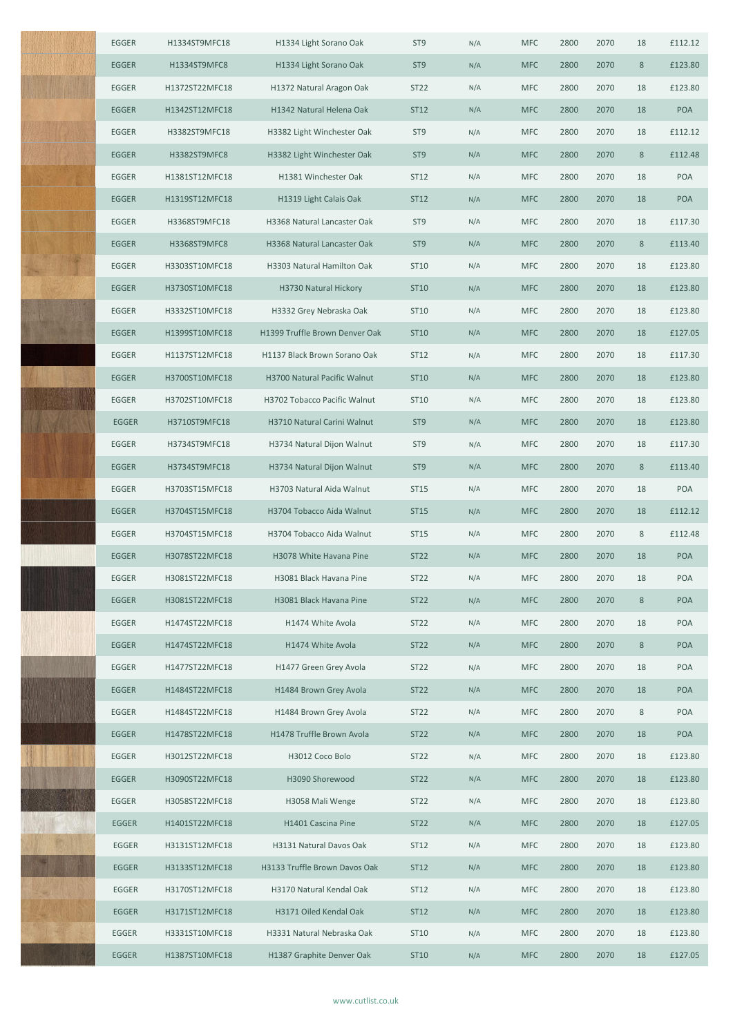| EGGER        | H1334ST9MFC18  | H1334 Light Sorano Oak         | ST <sub>9</sub>  | N/A | <b>MFC</b> | 2800 | 2070 | 18      | £112.12    |
|--------------|----------------|--------------------------------|------------------|-----|------------|------|------|---------|------------|
| EGGER        | H1334ST9MFC8   | H1334 Light Sorano Oak         | ST <sub>9</sub>  | N/A | <b>MFC</b> | 2800 | 2070 | 8       | £123.80    |
| EGGER        | H1372ST22MFC18 | H1372 Natural Aragon Oak       | <b>ST22</b>      | N/A | <b>MFC</b> | 2800 | 2070 | 18      | £123.80    |
| EGGER        | H1342ST12MFC18 | H1342 Natural Helena Oak       | ST12             | N/A | <b>MFC</b> | 2800 | 2070 | 18      | POA        |
| EGGER        | H3382ST9MFC18  | H3382 Light Winchester Oak     | ST <sub>9</sub>  | N/A | <b>MFC</b> | 2800 | 2070 | 18      | £112.12    |
| EGGER        | H3382ST9MFC8   | H3382 Light Winchester Oak     | ST <sub>9</sub>  | N/A | <b>MFC</b> | 2800 | 2070 | $\,8\,$ | £112.48    |
| EGGER        | H1381ST12MFC18 | H1381 Winchester Oak           | ST12             | N/A | <b>MFC</b> | 2800 | 2070 | 18      | POA        |
| EGGER        | H1319ST12MFC18 | H1319 Light Calais Oak         | ST12             | N/A | <b>MFC</b> | 2800 | 2070 | 18      | POA        |
| EGGER        | H3368ST9MFC18  | H3368 Natural Lancaster Oak    | ST <sub>9</sub>  | N/A | <b>MFC</b> | 2800 | 2070 | 18      | £117.30    |
| EGGER        | H3368ST9MFC8   | H3368 Natural Lancaster Oak    | ST <sub>9</sub>  | N/A | <b>MFC</b> | 2800 | 2070 | $\,8\,$ | £113.40    |
| EGGER        | H3303ST10MFC18 | H3303 Natural Hamilton Oak     | ST10             | N/A | <b>MFC</b> | 2800 | 2070 | 18      | £123.80    |
| EGGER        | H3730ST10MFC18 | H3730 Natural Hickory          | ST10             | N/A | <b>MFC</b> | 2800 | 2070 | 18      | £123.80    |
| EGGER        | H3332ST10MFC18 | H3332 Grey Nebraska Oak        | ST10             | N/A | <b>MFC</b> | 2800 | 2070 | 18      | £123.80    |
| <b>EGGER</b> | H1399ST10MFC18 | H1399 Truffle Brown Denver Oak | ST10             | N/A | <b>MFC</b> | 2800 | 2070 | 18      | £127.05    |
| EGGER        | H1137ST12MFC18 | H1137 Black Brown Sorano Oak   | ST12             | N/A | <b>MFC</b> | 2800 | 2070 | 18      | £117.30    |
| <b>EGGER</b> | H3700ST10MFC18 | H3700 Natural Pacific Walnut   | ST10             | N/A | <b>MFC</b> | 2800 | 2070 | 18      | £123.80    |
| EGGER        | H3702ST10MFC18 | H3702 Tobacco Pacific Walnut   | ST10             | N/A | <b>MFC</b> | 2800 | 2070 | 18      | £123.80    |
| EGGER        | H3710ST9MFC18  | H3710 Natural Carini Walnut    | ST <sub>9</sub>  | N/A | <b>MFC</b> | 2800 | 2070 | 18      | £123.80    |
| EGGER        | H3734ST9MFC18  | H3734 Natural Dijon Walnut     | ST <sub>9</sub>  | N/A | <b>MFC</b> | 2800 | 2070 | 18      | £117.30    |
| <b>EGGER</b> | H3734ST9MFC18  | H3734 Natural Dijon Walnut     | ST <sub>9</sub>  | N/A | <b>MFC</b> | 2800 | 2070 | $\,8$   | £113.40    |
| EGGER        | H3703ST15MFC18 | H3703 Natural Aida Walnut      | ST15             | N/A | <b>MFC</b> | 2800 | 2070 | 18      | POA        |
| EGGER        | H3704ST15MFC18 | H3704 Tobacco Aida Walnut      | <b>ST15</b>      | N/A | <b>MFC</b> | 2800 | 2070 | 18      | £112.12    |
| EGGER        | H3704ST15MFC18 | H3704 Tobacco Aida Walnut      | ST15             | N/A | <b>MFC</b> | 2800 | 2070 | 8       | £112.48    |
| EGGER        | H3078ST22MFC18 | H3078 White Havana Pine        | ST <sub>22</sub> | N/A | <b>MFC</b> | 2800 | 2070 | 18      | POA        |
| EGGER        | H3081ST22MFC18 | H3081 Black Havana Pine        | ST22             | N/A | <b>MFC</b> | 2800 | 2070 | 18      | POA        |
| <b>EGGER</b> | H3081ST22MFC18 | H3081 Black Havana Pine        | <b>ST22</b>      | N/A | <b>MFC</b> | 2800 | 2070 | $\,8\,$ | <b>POA</b> |
| EGGER        | H1474ST22MFC18 | H1474 White Avola              | ST22             | N/A | <b>MFC</b> | 2800 | 2070 | 18      | POA        |
| EGGER        | H1474ST22MFC18 | H1474 White Avola              | <b>ST22</b>      | N/A | <b>MFC</b> | 2800 | 2070 | 8       | POA        |
| EGGER        | H1477ST22MFC18 | H1477 Green Grey Avola         | ST22             | N/A | <b>MFC</b> | 2800 | 2070 | 18      | POA        |
| EGGER        | H1484ST22MFC18 | H1484 Brown Grey Avola         | ST22             | N/A | <b>MFC</b> | 2800 | 2070 | 18      | POA        |
| EGGER        | H1484ST22MFC18 | H1484 Brown Grey Avola         | ST22             | N/A | <b>MFC</b> | 2800 | 2070 | $\,8\,$ | POA        |
| EGGER        | H1478ST22MFC18 | H1478 Truffle Brown Avola      | <b>ST22</b>      | N/A | <b>MFC</b> | 2800 | 2070 | 18      | <b>POA</b> |
| EGGER        | H3012ST22MFC18 | H3012 Coco Bolo                | ST22             | N/A | <b>MFC</b> | 2800 | 2070 | 18      | £123.80    |
| EGGER        | H3090ST22MFC18 | H3090 Shorewood                | <b>ST22</b>      | N/A | <b>MFC</b> | 2800 | 2070 | 18      | £123.80    |
| EGGER        | H3058ST22MFC18 | H3058 Mali Wenge               | ST22             | N/A | <b>MFC</b> | 2800 | 2070 | 18      | £123.80    |
| EGGER        | H1401ST22MFC18 | H1401 Cascina Pine             | <b>ST22</b>      | N/A | <b>MFC</b> | 2800 | 2070 | 18      | £127.05    |
| EGGER        | H3131ST12MFC18 | H3131 Natural Davos Oak        | ST12             | N/A | <b>MFC</b> | 2800 | 2070 | 18      | £123.80    |
| EGGER        | H3133ST12MFC18 | H3133 Truffle Brown Davos Oak  | ST12             | N/A | <b>MFC</b> | 2800 | 2070 | 18      | £123.80    |
| EGGER        | H3170ST12MFC18 | H3170 Natural Kendal Oak       | ST12             | N/A | <b>MFC</b> | 2800 | 2070 | 18      | £123.80    |
| EGGER        | H3171ST12MFC18 | H3171 Oiled Kendal Oak         | ST12             | N/A | <b>MFC</b> | 2800 | 2070 | 18      | £123.80    |
| EGGER        | H3331ST10MFC18 | H3331 Natural Nebraska Oak     | ST10             | N/A | <b>MFC</b> | 2800 | 2070 | 18      | £123.80    |
| EGGER        | H1387ST10MFC18 | H1387 Graphite Denver Oak      | ST10             | N/A | <b>MFC</b> | 2800 | 2070 | 18      | £127.05    |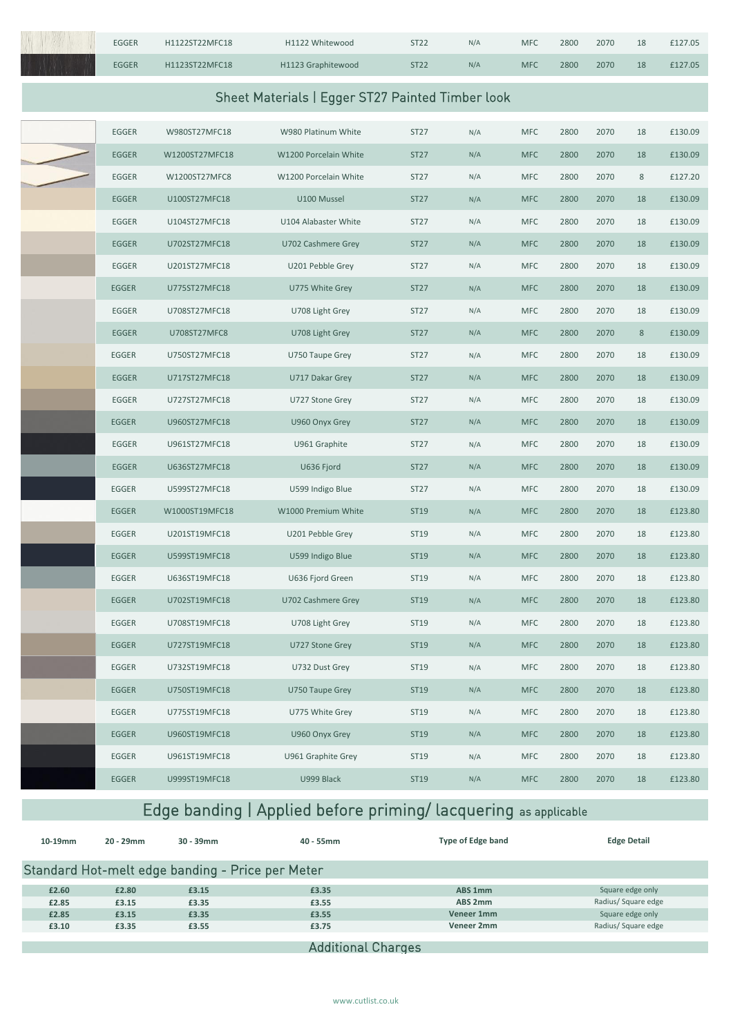| EGGER        | H1122ST22MFC18 | H1122 Whitewood                                  | <b>ST22</b> | N/A | <b>MFC</b> | 2800 | 2070 | 18    | £127.05 |
|--------------|----------------|--------------------------------------------------|-------------|-----|------------|------|------|-------|---------|
| <b>EGGER</b> | H1123ST22MFC18 | H1123 Graphitewood                               | <b>ST22</b> | N/A | <b>MFC</b> | 2800 | 2070 | 18    | £127.05 |
|              |                | Sheet Materials   Egger ST27 Painted Timber look |             |     |            |      |      |       |         |
|              |                |                                                  |             |     |            |      |      |       |         |
| EGGER        | W980ST27MFC18  | W980 Platinum White                              | ST27        | N/A | <b>MFC</b> | 2800 | 2070 | 18    | £130.09 |
| <b>EGGER</b> | W1200ST27MFC18 | W1200 Porcelain White                            | <b>ST27</b> | N/A | <b>MFC</b> | 2800 | 2070 | 18    | £130.09 |
| EGGER        | W1200ST27MFC8  | W1200 Porcelain White                            | ST27        | N/A | <b>MFC</b> | 2800 | 2070 | 8     | £127.20 |
| <b>EGGER</b> | U100ST27MFC18  | U100 Mussel                                      | <b>ST27</b> | N/A | <b>MFC</b> | 2800 | 2070 | 18    | £130.09 |
| EGGER        | U104ST27MFC18  | U104 Alabaster White                             | ST27        | N/A | <b>MFC</b> | 2800 | 2070 | 18    | £130.09 |
| EGGER        | U702ST27MFC18  | U702 Cashmere Grey                               | ST27        | N/A | <b>MFC</b> | 2800 | 2070 | 18    | £130.09 |
| EGGER        | U201ST27MFC18  | U201 Pebble Grey                                 | ST27        | N/A | <b>MFC</b> | 2800 | 2070 | 18    | £130.09 |
| EGGER        | U775ST27MFC18  | U775 White Grey                                  | ST27        | N/A | <b>MFC</b> | 2800 | 2070 | 18    | £130.09 |
| EGGER        | U708ST27MFC18  | U708 Light Grey                                  | ST27        | N/A | <b>MFC</b> | 2800 | 2070 | 18    | £130.09 |
| EGGER        | U708ST27MFC8   | U708 Light Grey                                  | ST27        | N/A | <b>MFC</b> | 2800 | 2070 | $8\,$ | £130.09 |
| EGGER        | U750ST27MFC18  | U750 Taupe Grey                                  | ST27        | N/A | <b>MFC</b> | 2800 | 2070 | 18    | £130.09 |
| EGGER        | U717ST27MFC18  | U717 Dakar Grey                                  | ST27        | N/A | <b>MFC</b> | 2800 | 2070 | 18    | £130.09 |
| EGGER        | U727ST27MFC18  | U727 Stone Grey                                  | ST27        | N/A | <b>MFC</b> | 2800 | 2070 | 18    | £130.09 |
| EGGER        | U960ST27MFC18  | U960 Onyx Grey                                   | ST27        | N/A | <b>MFC</b> | 2800 | 2070 | 18    | £130.09 |
| EGGER        | U961ST27MFC18  | U961 Graphite                                    | ST27        | N/A | <b>MFC</b> | 2800 | 2070 | 18    | £130.09 |
| EGGER        | U636ST27MFC18  | U636 Fjord                                       | ST27        | N/A | <b>MFC</b> | 2800 | 2070 | 18    | £130.09 |
| EGGER        | U599ST27MFC18  | U599 Indigo Blue                                 | ST27        | N/A | <b>MFC</b> | 2800 | 2070 | 18    | £130.09 |
| EGGER        | W1000ST19MFC18 | W1000 Premium White                              | ST19        | N/A | <b>MFC</b> | 2800 | 2070 | 18    | £123.80 |
| EGGER        | U201ST19MFC18  | U201 Pebble Grey                                 | ST19        | N/A | <b>MFC</b> | 2800 | 2070 | 18    | £123.80 |
| EGGER        | U599ST19MFC18  | U599 Indigo Blue                                 | ST19        | N/A | <b>MFC</b> | 2800 | 2070 | 18    | £123.80 |
| EGGER        | U636ST19MFC18  | U636 Fjord Green                                 | ST19        | N/A | <b>MFC</b> | 2800 | 2070 | 18    | £123.80 |
| EGGER        | U702ST19MFC18  | U702 Cashmere Grey                               | ST19        | N/A | <b>MFC</b> | 2800 | 2070 | 18    | £123.80 |
| EGGER        | U708ST19MFC18  | U708 Light Grey                                  | ST19        | N/A | <b>MFC</b> | 2800 | 2070 | 18    | £123.80 |
| EGGER        | U727ST19MFC18  | U727 Stone Grey                                  | ST19        | N/A | <b>MFC</b> | 2800 | 2070 | 18    | £123.80 |
| EGGER        | U732ST19MFC18  | U732 Dust Grey                                   | ST19        | N/A | <b>MFC</b> | 2800 | 2070 | 18    | £123.80 |
| EGGER        | U750ST19MFC18  | U750 Taupe Grey                                  | ST19        | N/A | <b>MFC</b> | 2800 | 2070 | 18    | £123.80 |
| EGGER        | U775ST19MFC18  | U775 White Grey                                  | ST19        | N/A | <b>MFC</b> | 2800 | 2070 | 18    | £123.80 |
| EGGER        | U960ST19MFC18  | U960 Onyx Grey                                   | ST19        | N/A | <b>MFC</b> | 2800 | 2070 | 18    | £123.80 |
| EGGER        | U961ST19MFC18  | U961 Graphite Grey                               | ST19        | N/A | <b>MFC</b> | 2800 | 2070 | 18    | £123.80 |
| EGGER        | U999ST19MFC18  | U999 Black                                       | ST19        | N/A | <b>MFC</b> | 2800 | 2070 | 18    | £123.80 |
|              |                |                                                  |             |     |            |      |      |       |         |

# Edge banding | Applied before priming/ lacquering as applicable

| 10-19mm | $20 - 29$ mm | $30 - 39$ mm                                     | $40 - 55$ mm       | Type of Edge band | <b>Edge Detail</b>  |
|---------|--------------|--------------------------------------------------|--------------------|-------------------|---------------------|
|         |              | Standard Hot-melt edge banding - Price per Meter |                    |                   |                     |
| £2.60   | £2.80        | £3.15                                            | £3.35              | ABS 1mm           | Square edge only    |
| £2.85   | £3.15        | £3.35                                            | £3.55              | ABS 2mm           | Radius/ Square edge |
| £2.85   | £3.15        | £3.35                                            | £3.55              | Veneer 1mm        | Square edge only    |
| £3.10   | £3.35        | £3.55                                            | £3.75              | Veneer 2mm        | Radius/ Square edge |
|         |              |                                                  |                    |                   |                     |
|         |              |                                                  | Additional Charges |                   |                     |